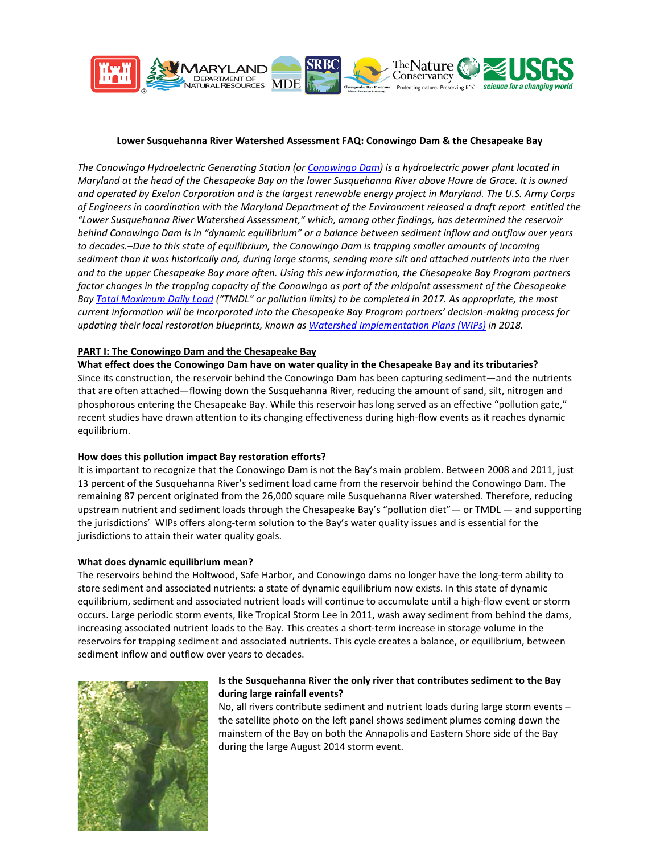

### **Lower Susquehanna River Watershed Assessment FAQ: Conowingo Dam & the Chesapeake Bay**

*The Conowingo Hydroelectric Generating Station (o[r Conowingo Dam\)](http://www.chesapeakebay.net/documents/Backgrounder_-_Conowingo_Dam_1_14_13_FINAL.pdf) is a hydroelectric power plant located in Maryland at the head of the Chesapeake Bay on the lower Susquehanna River above Havre de Grace. It is owned and operated by Exelon Corporation and is the largest renewable energy project in Maryland. The U.S. Army Corps of Engineers in coordination with the Maryland Department of the Environment released a draft report entitled the "Lower Susquehanna River Watershed Assessment," which, among other findings, has determined the reservoir behind Conowingo Dam is in "dynamic equilibrium" or a balance between sediment inflow and outflow over years to decades.–Due to this state of equilibrium, the Conowingo Dam is trapping smaller amounts of incoming sediment than it was historically and, during large storms, sending more silt and attached nutrients into the river and to the upper Chesapeake Bay more often. Using this new information, the Chesapeake Bay Program partners factor changes in the trapping capacity of the Conowingo as part of the midpoint assessment of the Chesapeake Ba[y Total Maximum Daily Load](http://www.chesapeakebay.net/about/programs/tmdl) ("TMDL" or pollution limits) to be completed in 2017. As appropriate, the most current information will be incorporated into the Chesapeake Bay Program partners' decision-making process for updating their local restoration blueprints, known a[s Watershed Implementation Plans \(WIPs\)](http://www.chesapeakebay.net/about/programs/watershed) in 2018.*

#### **PART I: The Conowingo Dam and the Chesapeake Bay**

**What effect does the Conowingo Dam have on water quality in the Chesapeake Bay and its tributaries?**  Since its construction, the reservoir behind the Conowingo Dam has been capturing sediment—and the nutrients that are often attached—flowing down the Susquehanna River, reducing the amount of sand, silt, nitrogen and phosphorous entering the Chesapeake Bay. While this reservoir has long served as an effective "pollution gate," recent studies have drawn attention to its changing effectiveness during high-flow events as it reaches dynamic equilibrium.

#### **How does this pollution impact Bay restoration efforts?**

It is important to recognize that the Conowingo Dam is not the Bay's main problem. Between 2008 and 2011, just 13 percent of the Susquehanna River's sediment load came from the reservoir behind the Conowingo Dam. The remaining 87 percent originated from the 26,000 square mile Susquehanna River watershed. Therefore, reducing upstream nutrient and sediment loads through the Chesapeake Bay's "pollution diet"— or TMDL — and supporting the jurisdictions' WIPs offers along-term solution to the Bay's water quality issues and is essential for the jurisdictions to attain their water quality goals.

#### **What does dynamic equilibrium mean?**

The reservoirs behind the Holtwood, Safe Harbor, and Conowingo dams no longer have the long-term ability to store sediment and associated nutrients: a state of dynamic equilibrium now exists. In this state of dynamic equilibrium, sediment and associated nutrient loads will continue to accumulate until a high-flow event or storm occurs. Large periodic storm events, like Tropical Storm Lee in 2011, wash away sediment from behind the dams, increasing associated nutrient loads to the Bay. This creates a short-term increase in storage volume in the reservoirs for trapping sediment and associated nutrients. This cycle creates a balance, or equilibrium, between sediment inflow and outflow over years to decades.



## **Is the Susquehanna River the only river that contributes sediment to the Bay during large rainfall events?**

No, all rivers contribute sediment and nutrient loads during large storm events – the satellite photo on the left panel shows sediment plumes coming down the mainstem of the Bay on both the Annapolis and Eastern Shore side of the Bay during the large August 2014 storm event.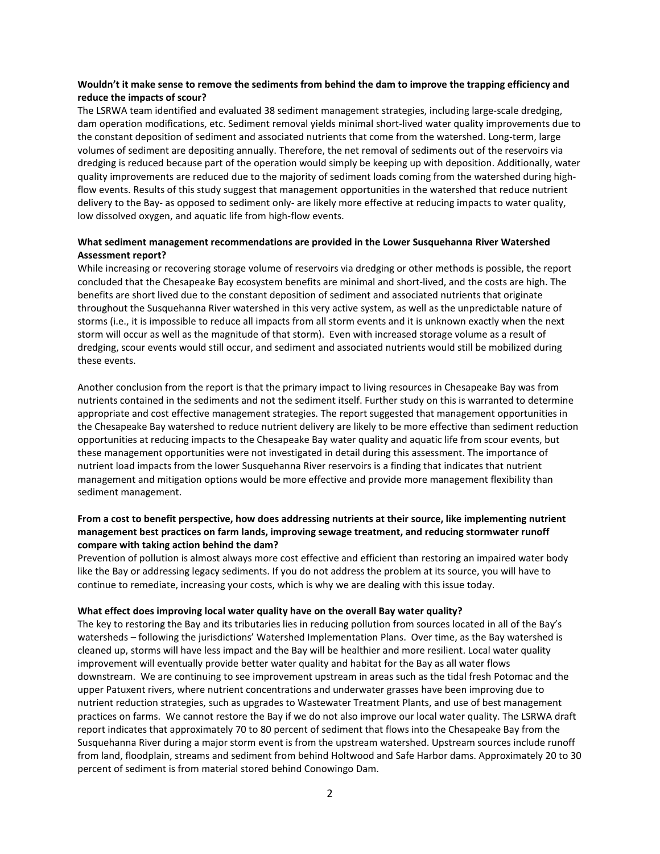### **Wouldn't it make sense to remove the sediments from behind the dam to improve the trapping efficiency and reduce the impacts of scour?**

The LSRWA team identified and evaluated 38 sediment management strategies, including large-scale dredging, dam operation modifications, etc. Sediment removal yields minimal short-lived water quality improvements due to the constant deposition of sediment and associated nutrients that come from the watershed. Long-term, large volumes of sediment are depositing annually. Therefore, the net removal of sediments out of the reservoirs via dredging is reduced because part of the operation would simply be keeping up with deposition. Additionally, water quality improvements are reduced due to the majority of sediment loads coming from the watershed during highflow events. Results of this study suggest that management opportunities in the watershed that reduce nutrient delivery to the Bay- as opposed to sediment only- are likely more effective at reducing impacts to water quality, low dissolved oxygen, and aquatic life from high-flow events.

### **What sediment management recommendations are provided in the Lower Susquehanna River Watershed Assessment report?**

While increasing or recovering storage volume of reservoirs via dredging or other methods is possible, the report concluded that the Chesapeake Bay ecosystem benefits are minimal and short-lived, and the costs are high. The benefits are short lived due to the constant deposition of sediment and associated nutrients that originate throughout the Susquehanna River watershed in this very active system, as well as the unpredictable nature of storms (i.e., it is impossible to reduce all impacts from all storm events and it is unknown exactly when the next storm will occur as well as the magnitude of that storm). Even with increased storage volume as a result of dredging, scour events would still occur, and sediment and associated nutrients would still be mobilized during these events.

Another conclusion from the report is that the primary impact to living resources in Chesapeake Bay was from nutrients contained in the sediments and not the sediment itself. Further study on this is warranted to determine appropriate and cost effective management strategies. The report suggested that management opportunities in the Chesapeake Bay watershed to reduce nutrient delivery are likely to be more effective than sediment reduction opportunities at reducing impacts to the Chesapeake Bay water quality and aquatic life from scour events, but these management opportunities were not investigated in detail during this assessment. The importance of nutrient load impacts from the lower Susquehanna River reservoirs is a finding that indicates that nutrient management and mitigation options would be more effective and provide more management flexibility than sediment management.

## **From a cost to benefit perspective, how does addressing nutrients at their source, like implementing nutrient management best practices on farm lands, improving sewage treatment, and reducing stormwater runoff compare with taking action behind the dam?**

Prevention of pollution is almost always more cost effective and efficient than restoring an impaired water body like the Bay or addressing legacy sediments. If you do not address the problem at its source, you will have to continue to remediate, increasing your costs, which is why we are dealing with this issue today.

#### **What effect does improving local water quality have on the overall Bay water quality?**

The key to restoring the Bay and its tributaries lies in reducing pollution from sources located in all of the Bay's watersheds – following the jurisdictions' Watershed Implementation Plans. Over time, as the Bay watershed is cleaned up, storms will have less impact and the Bay will be healthier and more resilient. Local water quality improvement will eventually provide better water quality and habitat for the Bay as all water flows downstream. We are continuing to see improvement upstream in areas such as the tidal fresh Potomac and the upper Patuxent rivers, where nutrient concentrations and underwater grasses have been improving due to nutrient reduction strategies, such as upgrades to Wastewater Treatment Plants, and use of best management practices on farms. We cannot restore the Bay if we do not also improve our local water quality. The LSRWA draft report indicates that approximately 70 to 80 percent of sediment that flows into the Chesapeake Bay from the Susquehanna River during a major storm event is from the upstream watershed. Upstream sources include runoff from land, floodplain, streams and sediment from behind Holtwood and Safe Harbor dams. Approximately 20 to 30 percent of sediment is from material stored behind Conowingo Dam.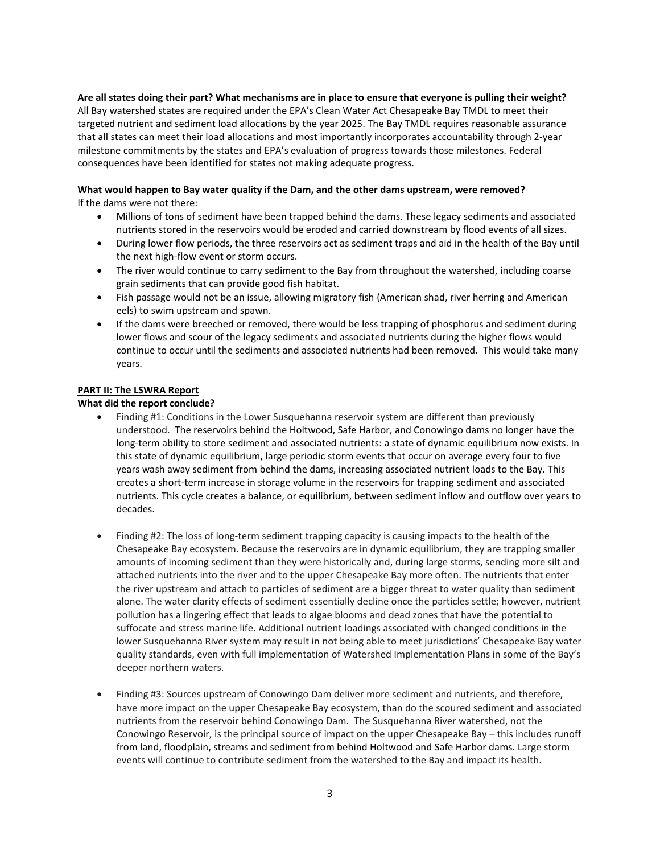# **Are all states doing their part? What mechanisms are in place to ensure that everyone is pulling their weight?**

All Bay watershed states are required under the EPA's Clean Water Act Chesapeake Bay TMDL to meet their targeted nutrient and sediment load allocations by the year 2025. The Bay TMDL requires reasonable assurance that all states can meet their load allocations and most importantly incorporates accountability through 2-year milestone commitments by the states and EPA's evaluation of progress towards those milestones. Federal consequences have been identified for states not making adequate progress.

## **What would happen to Bay water quality if the Dam, and the other dams upstream, were removed?**

If the dams were not there:

- Millions of tons of sediment have been trapped behind the dams. These legacy sediments and associated nutrients stored in the reservoirs would be eroded and carried downstream by flood events of all sizes.
- During lower flow periods, the three reservoirs act as sediment traps and aid in the health of the Bay until the next high-flow event or storm occurs.
- The river would continue to carry sediment to the Bay from throughout the watershed, including coarse grain sediments that can provide good fish habitat.
- Fish passage would not be an issue, allowing migratory fish (American shad, river herring and American eels) to swim upstream and spawn.
- If the dams were breeched or removed, there would be less trapping of phosphorus and sediment during lower flows and scour of the legacy sediments and associated nutrients during the higher flows would continue to occur until the sediments and associated nutrients had been removed. This would take many years.

### **PART II: The LSWRA Report**

**What did the report conclude?**

- Finding #1: Conditions in the Lower Susquehanna reservoir system are different than previously understood. The reservoirs behind the Holtwood, Safe Harbor, and Conowingo dams no longer have the long-term ability to store sediment and associated nutrients: a state of dynamic equilibrium now exists. In this state of dynamic equilibrium, large periodic storm events that occur on average every four to five years wash away sediment from behind the dams, increasing associated nutrient loads to the Bay. This creates a short-term increase in storage volume in the reservoirs for trapping sediment and associated nutrients. This cycle creates a balance, or equilibrium, between sediment inflow and outflow over years to decades.
- Finding #2: The loss of long-term sediment trapping capacity is causing impacts to the health of the Chesapeake Bay ecosystem. Because the reservoirs are in dynamic equilibrium, they are trapping smaller amounts of incoming sediment than they were historically and, during large storms, sending more silt and attached nutrients into the river and to the upper Chesapeake Bay more often. The nutrients that enter the river upstream and attach to particles of sediment are a bigger threat to water quality than sediment alone. The water clarity effects of sediment essentially decline once the particles settle; however, nutrient pollution has a lingering effect that leads to algae blooms and dead zones that have the potential to suffocate and stress marine life. Additional nutrient loadings associated with changed conditions in the lower Susquehanna River system may result in not being able to meet jurisdictions' Chesapeake Bay water quality standards, even with full implementation of Watershed Implementation Plans in some of the Bay's deeper northern waters.
- Finding #3: Sources upstream of Conowingo Dam deliver more sediment and nutrients, and therefore, have more impact on the upper Chesapeake Bay ecosystem, than do the scoured sediment and associated nutrients from the reservoir behind Conowingo Dam. The Susquehanna River watershed, not the Conowingo Reservoir, is the principal source of impact on the upper Chesapeake Bay – this includes runoff from land, floodplain, streams and sediment from behind Holtwood and Safe Harbor dams. Large storm events will continue to contribute sediment from the watershed to the Bay and impact its health.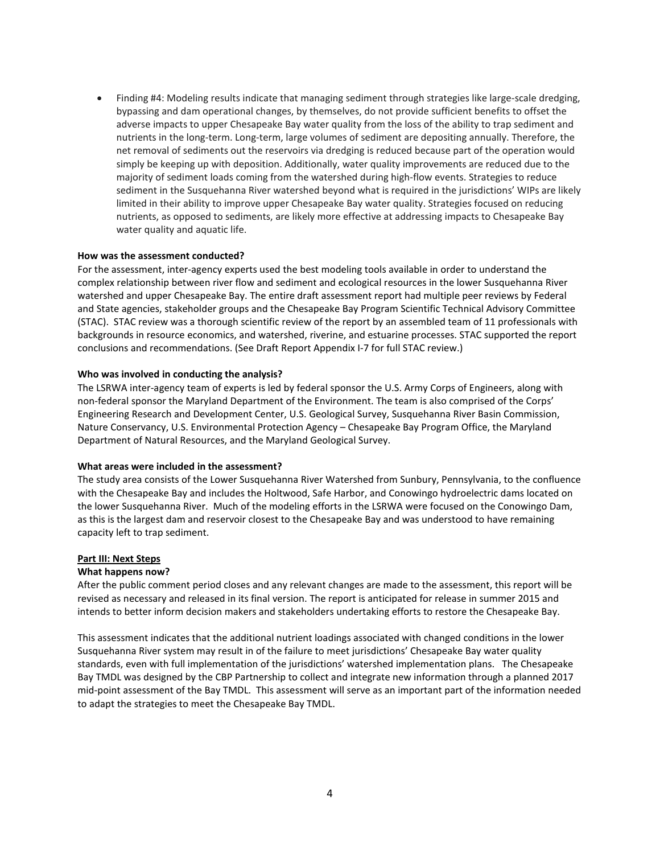• Finding #4: Modeling results indicate that managing sediment through strategies like large-scale dredging, bypassing and dam operational changes, by themselves, do not provide sufficient benefits to offset the adverse impacts to upper Chesapeake Bay water quality from the loss of the ability to trap sediment and nutrients in the long-term. Long-term, large volumes of sediment are depositing annually. Therefore, the net removal of sediments out the reservoirs via dredging is reduced because part of the operation would simply be keeping up with deposition. Additionally, water quality improvements are reduced due to the majority of sediment loads coming from the watershed during high-flow events. Strategies to reduce sediment in the Susquehanna River watershed beyond what is required in the jurisdictions' WIPs are likely limited in their ability to improve upper Chesapeake Bay water quality. Strategies focused on reducing nutrients, as opposed to sediments, are likely more effective at addressing impacts to Chesapeake Bay water quality and aquatic life.

#### **How was the assessment conducted?**

For the assessment, inter-agency experts used the best modeling tools available in order to understand the complex relationship between river flow and sediment and ecological resources in the lower Susquehanna River watershed and upper Chesapeake Bay. The entire draft assessment report had multiple peer reviews by Federal and State agencies, stakeholder groups and the Chesapeake Bay Program Scientific Technical Advisory Committee (STAC). STAC review was a thorough scientific review of the report by an assembled team of 11 professionals with backgrounds in resource economics, and watershed, riverine, and estuarine processes. STAC supported the report conclusions and recommendations. (See Draft Report Appendix I-7 for full STAC review.)

#### **Who was involved in conducting the analysis?**

The LSRWA inter-agency team of experts is led by federal sponsor the U.S. Army Corps of Engineers, along with non-federal sponsor the Maryland Department of the Environment. The team is also comprised of the Corps' Engineering Research and Development Center, U.S. Geological Survey, Susquehanna River Basin Commission, Nature Conservancy, U.S. Environmental Protection Agency – Chesapeake Bay Program Office, the Maryland Department of Natural Resources, and the Maryland Geological Survey.

#### **What areas were included in the assessment?**

The study area consists of the Lower Susquehanna River Watershed from Sunbury, Pennsylvania, to the confluence with the Chesapeake Bay and includes the Holtwood, Safe Harbor, and Conowingo hydroelectric dams located on the lower Susquehanna River. Much of the modeling efforts in the LSRWA were focused on the Conowingo Dam, as this is the largest dam and reservoir closest to the Chesapeake Bay and was understood to have remaining capacity left to trap sediment.

#### **Part III: Next Steps**

#### **What happens now?**

After the public comment period closes and any relevant changes are made to the assessment, this report will be revised as necessary and released in its final version. The report is anticipated for release in summer 2015 and intends to better inform decision makers and stakeholders undertaking efforts to restore the Chesapeake Bay.

This assessment indicates that the additional nutrient loadings associated with changed conditions in the lower Susquehanna River system may result in of the failure to meet jurisdictions' Chesapeake Bay water quality standards, even with full implementation of the jurisdictions' watershed implementation plans. The Chesapeake Bay TMDL was designed by the CBP Partnership to collect and integrate new information through a planned 2017 mid-point assessment of the Bay TMDL. This assessment will serve as an important part of the information needed to adapt the strategies to meet the Chesapeake Bay TMDL.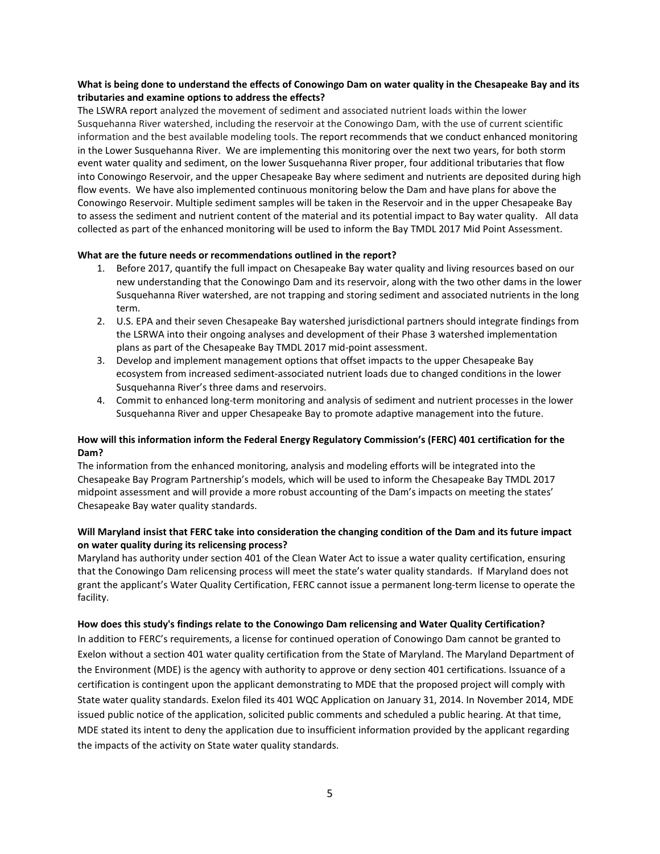## **What is being done to understand the effects of Conowingo Dam on water quality in the Chesapeake Bay and its tributaries and examine options to address the effects?**

The LSWRA report analyzed the movement of sediment and associated nutrient loads within the lower Susquehanna River watershed, including the reservoir at the Conowingo Dam, with the use of current scientific information and the best available modeling tools. The report recommends that we conduct enhanced monitoring in the Lower Susquehanna River. We are implementing this monitoring over the next two years, for both storm event water quality and sediment, on the lower Susquehanna River proper, four additional tributaries that flow into Conowingo Reservoir, and the upper Chesapeake Bay where sediment and nutrients are deposited during high flow events. We have also implemented continuous monitoring below the Dam and have plans for above the Conowingo Reservoir. Multiple sediment samples will be taken in the Reservoir and in the upper Chesapeake Bay to assess the sediment and nutrient content of the material and its potential impact to Bay water quality. All data collected as part of the enhanced monitoring will be used to inform the Bay TMDL 2017 Mid Point Assessment.

### **What are the future needs or recommendations outlined in the report?**

- 1. Before 2017, quantify the full impact on Chesapeake Bay water quality and living resources based on our new understanding that the Conowingo Dam and its reservoir, along with the two other dams in the lower Susquehanna River watershed, are not trapping and storing sediment and associated nutrients in the long term.
- 2. U.S. EPA and their seven Chesapeake Bay watershed jurisdictional partners should integrate findings from the LSRWA into their ongoing analyses and development of their Phase 3 watershed implementation plans as part of the Chesapeake Bay TMDL 2017 mid-point assessment.
- 3. Develop and implement management options that offset impacts to the upper Chesapeake Bay ecosystem from increased sediment-associated nutrient loads due to changed conditions in the lower Susquehanna River's three dams and reservoirs.
- 4. Commit to enhanced long-term monitoring and analysis of sediment and nutrient processes in the lower Susquehanna River and upper Chesapeake Bay to promote adaptive management into the future.

### **How will this information inform the Federal Energy Regulatory Commission's (FERC) 401 certification for the Dam?**

The information from the enhanced monitoring, analysis and modeling efforts will be integrated into the Chesapeake Bay Program Partnership's models, which will be used to inform the Chesapeake Bay TMDL 2017 midpoint assessment and will provide a more robust accounting of the Dam's impacts on meeting the states' Chesapeake Bay water quality standards.

## **Will Maryland insist that FERC take into consideration the changing condition of the Dam and its future impact on water quality during its relicensing process?**

Maryland has authority under section 401 of the Clean Water Act to issue a water quality certification, ensuring that the Conowingo Dam relicensing process will meet the state's water quality standards. If Maryland does not grant the applicant's Water Quality Certification, FERC cannot issue a permanent long-term license to operate the facility.

#### **How does this study's findings relate to the Conowingo Dam relicensing and Water Quality Certification?**

In addition to FERC's requirements, a license for continued operation of Conowingo Dam cannot be granted to Exelon without a section 401 water quality certification from the State of Maryland. The Maryland Department of the Environment (MDE) is the agency with authority to approve or deny section 401 certifications. Issuance of a certification is contingent upon the applicant demonstrating to MDE that the proposed project will comply with State water quality standards. Exelon filed its 401 WQC Application on January 31, 2014. In November 2014, MDE issued public notice of the application, solicited public comments and scheduled a public hearing. At that time, MDE stated its intent to deny the application due to insufficient information provided by the applicant regarding the impacts of the activity on State water quality standards.